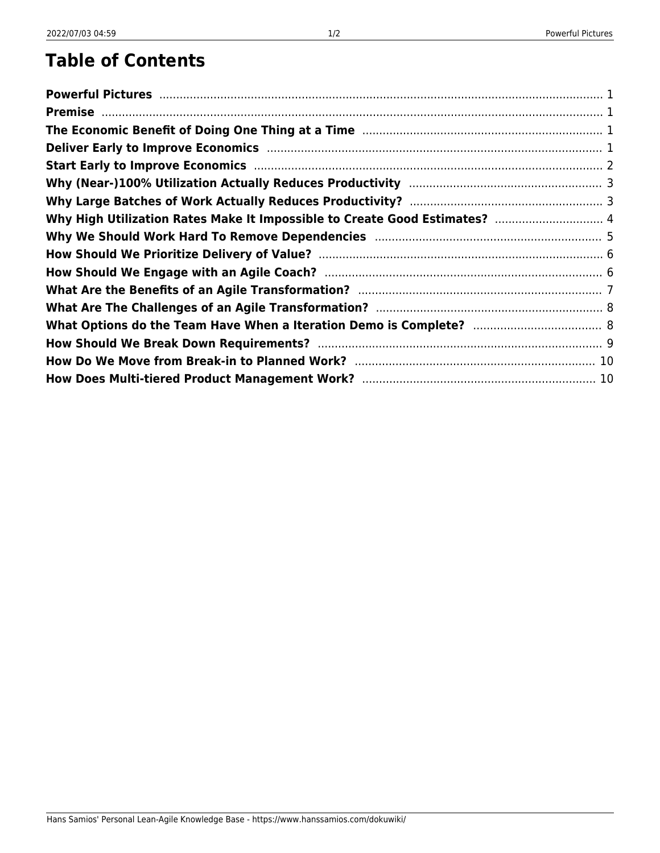#### **Table of Contents**

| Why High Utilization Rates Make It Impossible to Create Good Estimates?  4 |  |
|----------------------------------------------------------------------------|--|
|                                                                            |  |
|                                                                            |  |
|                                                                            |  |
|                                                                            |  |
|                                                                            |  |
|                                                                            |  |
|                                                                            |  |
|                                                                            |  |
|                                                                            |  |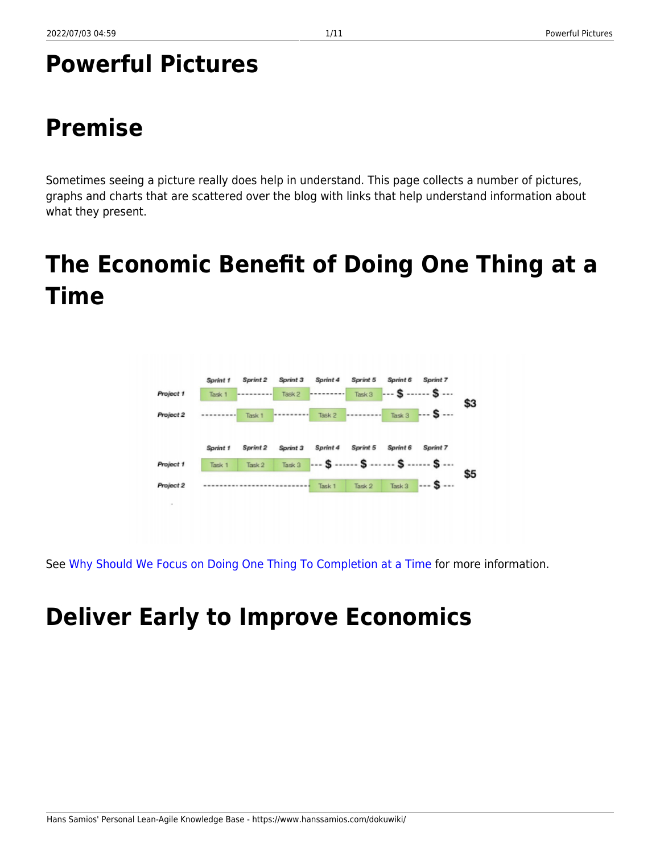#### <span id="page-2-0"></span>**Powerful Pictures**

## <span id="page-2-1"></span>**Premise**

Sometimes seeing a picture really does help in understand. This page collects a number of pictures, graphs and charts that are scattered over the blog with links that help understand information about what they present.

## <span id="page-2-2"></span>**The Economic Benefit of Doing One Thing at a Time**



See [Why Should We Focus on Doing One Thing To Completion at a Time](https://www.hanssamios.com/dokuwiki/why_should_we_focus_on_doing_one_thing_to_completion_at_a_time) for more information.

# <span id="page-2-3"></span>**Deliver Early to Improve Economics**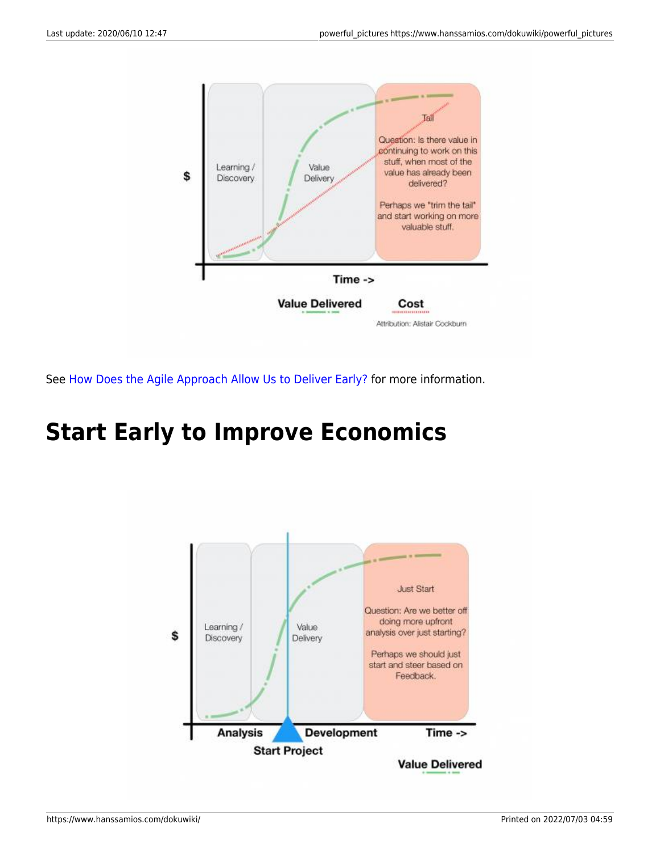

See [How Does the Agile Approach Allow Us to Deliver Early?](https://www.hanssamios.com/dokuwiki/how_does_the_agile_approach_allow_us_to_deliver_early) for more information.

#### <span id="page-3-0"></span>**Start Early to Improve Economics**

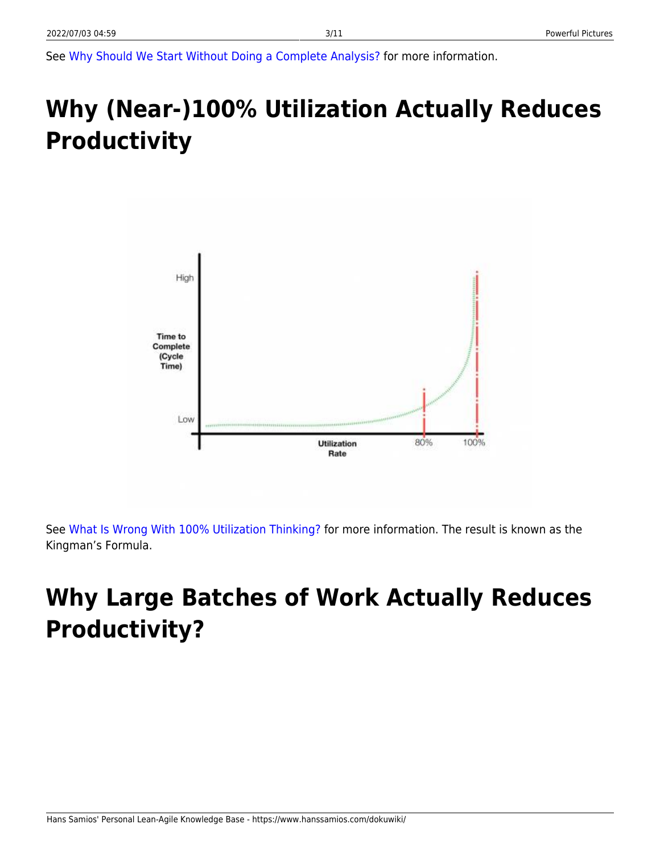See [Why Should We Start Without Doing a Complete Analysis?](https://www.hanssamios.com/dokuwiki/why_should_we_start_without_doing_a_complete_analysis) for more information.

# <span id="page-4-0"></span>**Why (Near-)100% Utilization Actually Reduces Productivity**



See [What Is Wrong With 100% Utilization Thinking?](https://www.hanssamios.com/dokuwiki/what_is_wrong_with_100_utilization_thinking) for more information. The result is known as the Kingman's Formula.

# <span id="page-4-1"></span>**Why Large Batches of Work Actually Reduces Productivity?**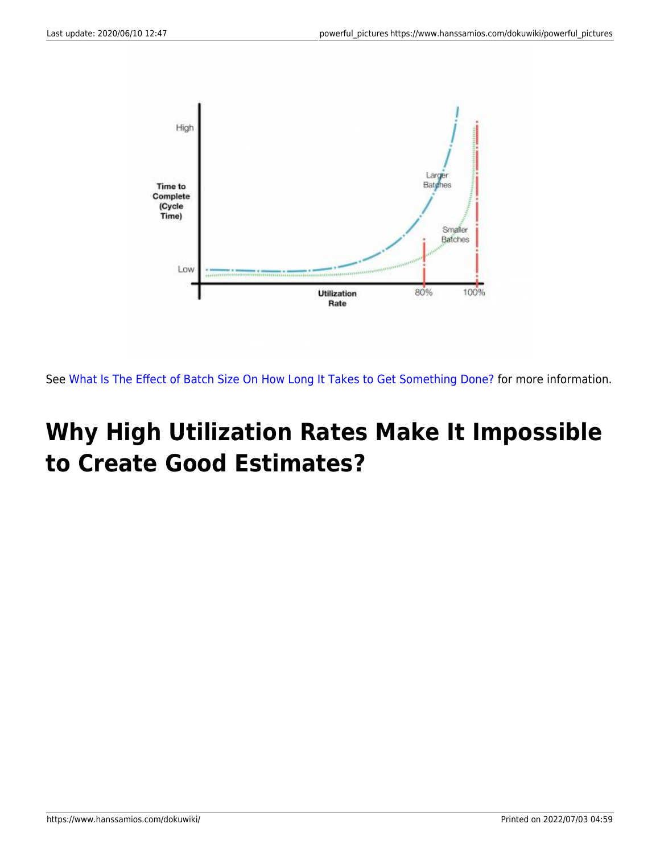

See [What Is The Effect of Batch Size On How Long It Takes to Get Something Done?](https://www.hanssamios.com/dokuwiki/what_is_the_effect_of_batch_size_on_how_long_something_takes_to_get_done) for more information.

#### <span id="page-5-0"></span>**Why High Utilization Rates Make It Impossible to Create Good Estimates?**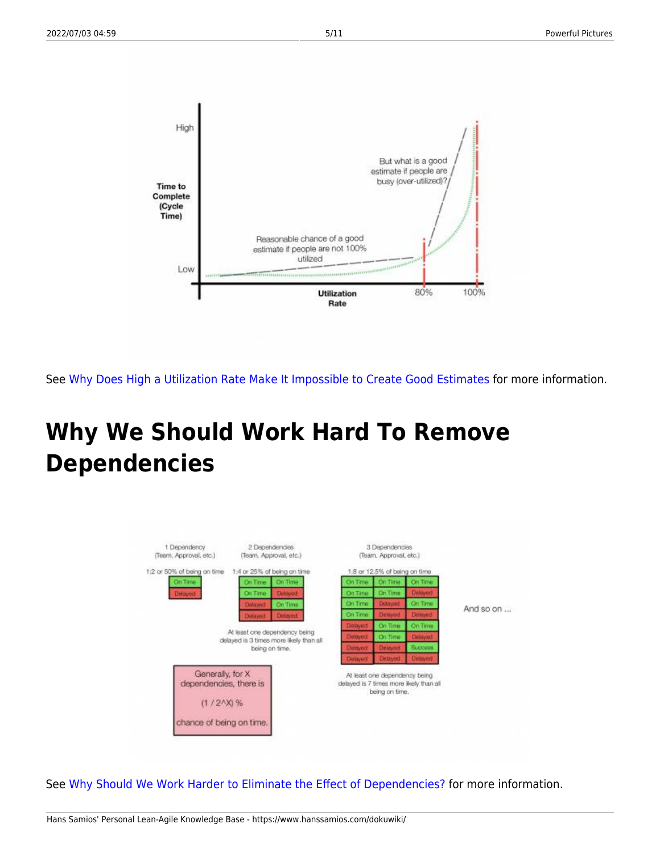

See [Why Does High a Utilization Rate Make It Impossible to Create Good Estimates](https://www.hanssamios.com/dokuwiki/why_does_high_a_utilization_rate_make_it_impossible_to_create_good_estimates) for more information.

## <span id="page-6-0"></span>**Why We Should Work Hard To Remove Dependencies**



See [Why Should We Work Harder to Eliminate the Effect of Dependencies?](https://www.hanssamios.com/dokuwiki/why_should_we_work_harder_to_eliminate_the_effect_of_dependencies) for more information.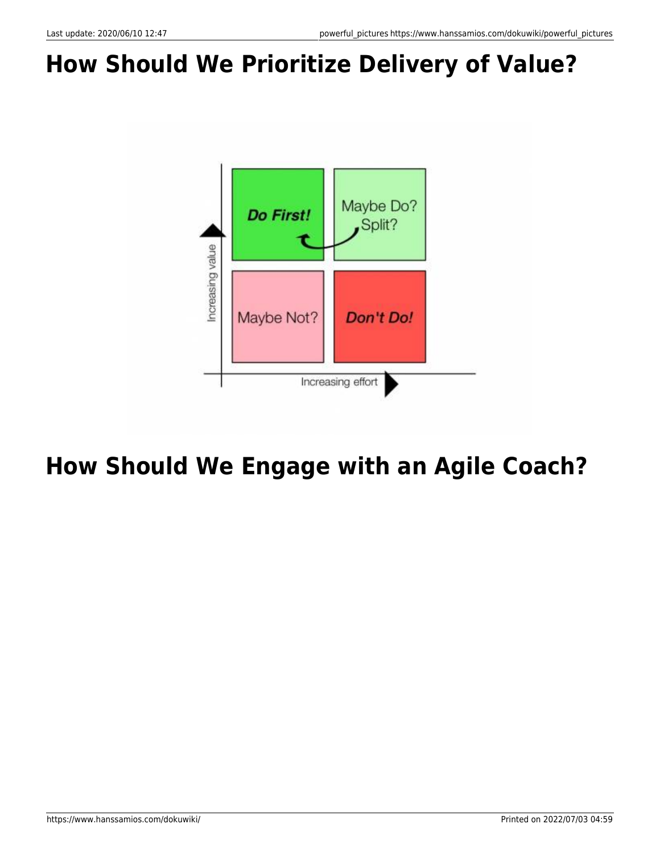# <span id="page-7-0"></span>**How Should We Prioritize Delivery of Value?**



#### <span id="page-7-1"></span>**How Should We Engage with an Agile Coach?**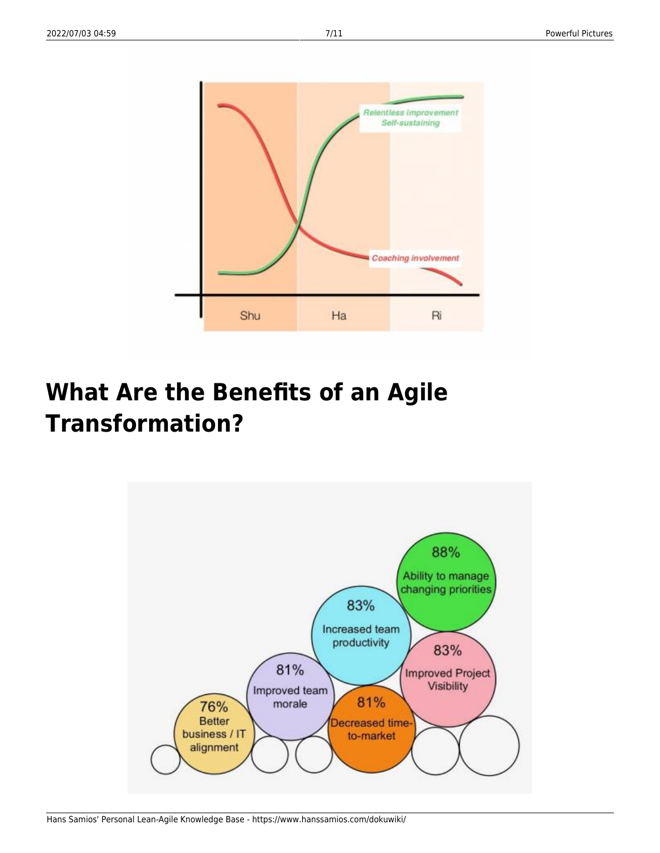

## <span id="page-8-0"></span>**What Are the Benefits of an Agile Transformation?**

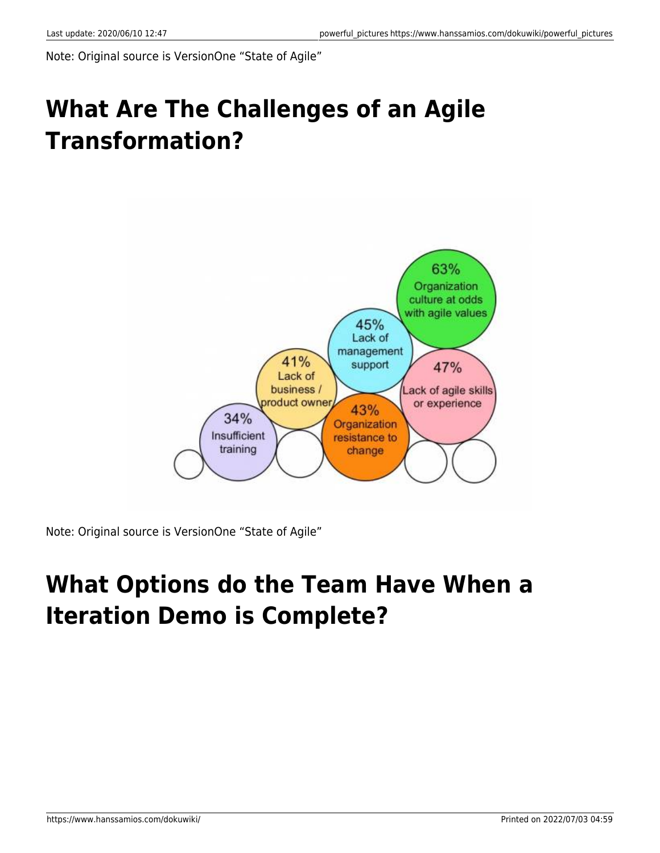Note: Original source is VersionOne "State of Agile"

## <span id="page-9-0"></span>**What Are The Challenges of an Agile Transformation?**



Note: Original source is VersionOne "State of Agile"

#### <span id="page-9-1"></span>**What Options do the Team Have When a Iteration Demo is Complete?**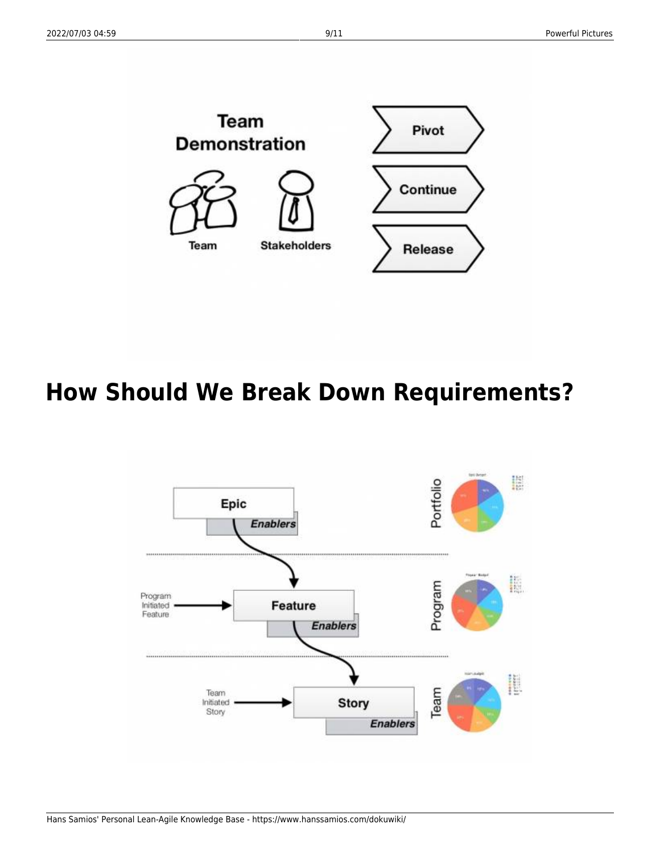

#### <span id="page-10-0"></span>**How Should We Break Down Requirements?**

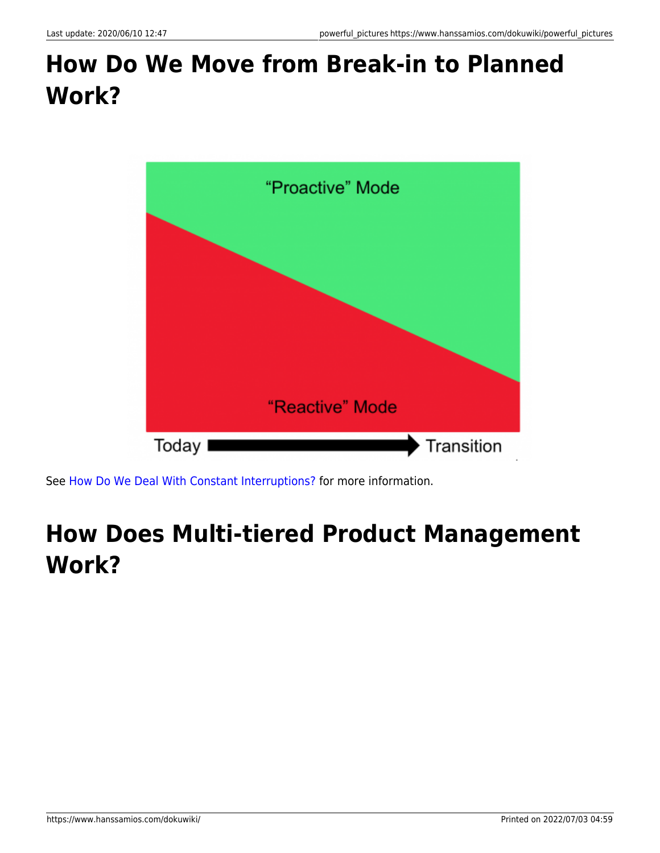#### <span id="page-11-0"></span>**How Do We Move from Break-in to Planned Work?**



See [How Do We Deal With Constant Interruptions?](https://www.hanssamios.com/dokuwiki/how_do_we_deal_with_constant_interruptions) for more information.

#### <span id="page-11-1"></span>**How Does Multi-tiered Product Management Work?**